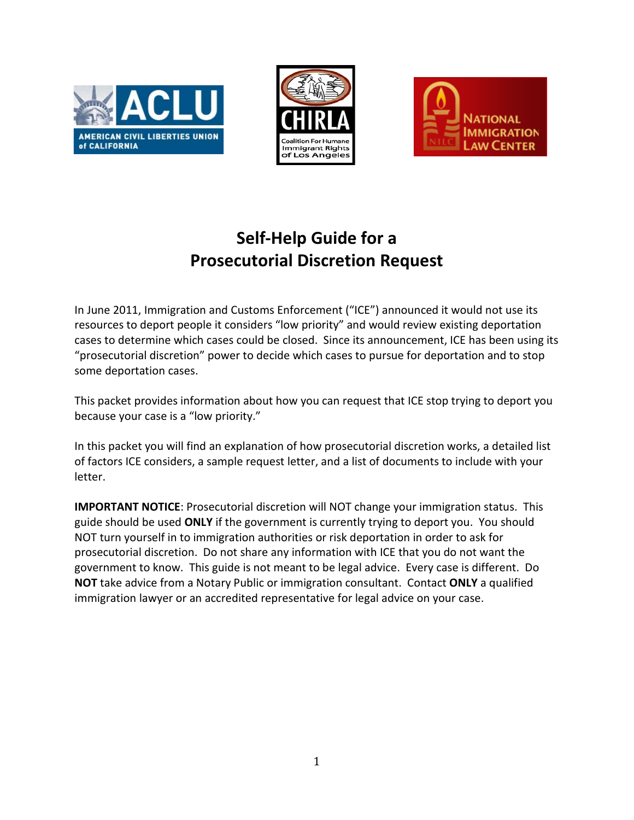





# **Self-Help Guide for a Prosecutorial Discretion Request**

In June 2011, Immigration and Customs Enforcement ("ICE") announced it would not use its resources to deport people it considers "low priority" and would review existing deportation cases to determine which cases could be closed. Since its announcement, ICE has been using its "prosecutorial discretion" power to decide which cases to pursue for deportation and to stop some deportation cases.

This packet provides information about how you can request that ICE stop trying to deport you because your case is a "low priority."

In this packet you will find an explanation of how prosecutorial discretion works, a detailed list of factors ICE considers, a sample request letter, and a list of documents to include with your letter.

**IMPORTANT NOTICE**: Prosecutorial discretion will NOT change your immigration status. This guide should be used **ONLY** if the government is currently trying to deport you. You should NOT turn yourself in to immigration authorities or risk deportation in order to ask for prosecutorial discretion. Do not share any information with ICE that you do not want the government to know. This guide is not meant to be legal advice. Every case is different. Do **NOT** take advice from a Notary Public or immigration consultant. Contact **ONLY** a qualified immigration lawyer or an accredited representative for legal advice on your case.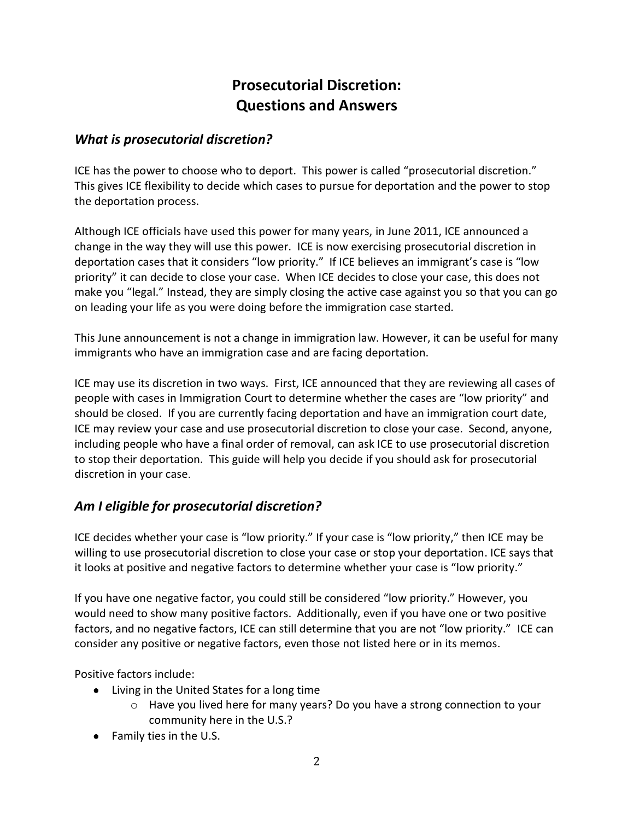## **Prosecutorial Discretion: Questions and Answers**

#### What is prosecutorial discretion?

ICE has the power to choose who to deport. This power is called "prosecutorial discretion." This gives ICE flexibility to decide which cases to pursue for deportation and the power to stop the deportation process.

Although ICE officials have used this power for many years, in June 2011, ICE announced a change in the way they will use this power. ICE is now exercising prosecutorial discretion in deportation cases that it considers "low priority." If ICE believes an immigrant's case is "low priority" it can decide to close your case. When ICE decides to close your case, this does not make you "legal." Instead, they are simply closing the active case against you so that you can go on leading your life as you were doing before the immigration case started.

This June announcement is not a change in immigration law. However, it can be useful for many immigrants who have an immigration case and are facing deportation.

ICE may use its discretion in two ways. First, ICE announced that they are reviewing all cases of people with cases in Immigration Court to determine whether the cases are "low priority" and should be closed. If you are currently facing deportation and have an immigration court date, ICE may review your case and use prosecutorial discretion to close your case. Second, anyone, including people who have a final order of removal, can ask ICE to use prosecutorial discretion to stop their deportation. This guide will help you decide if you should ask for prosecutorial discretion in your case.

## Am I eligible for prosecutorial discretion?

ICE decides whether your case is "low priority." If your case is "low priority," then ICE may be willing to use prosecutorial discretion to close your case or stop your deportation. ICE says that it looks at positive and negative factors to determine whether your case is "low priority."

If you have one negative factor, you could still be considered "low priority." However, you would need to show many positive factors. Additionally, even if you have one or two positive factors, and no negative factors, ICE can still determine that you are not "low priority." ICE can consider any positive or negative factors, even those not listed here or in its memos.

Positive factors include:

- Living in the United States for a long time
	- $\circ$  Have you lived here for many years? Do you have a strong connection to your community here in the U.S.?
- Family ties in the U.S.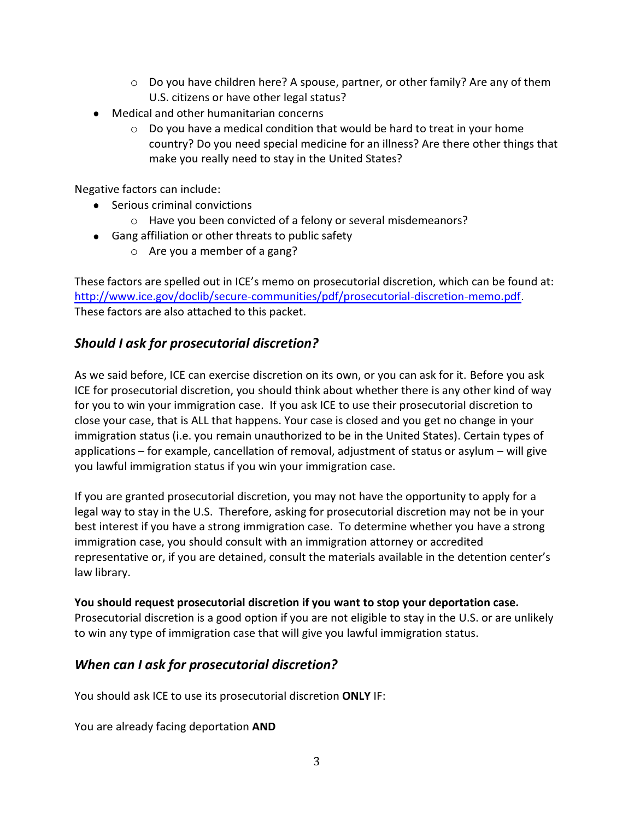- $\circ$  Do you have children here? A spouse, partner, or other family? Are any of them U.S. citizens or have other legal status?
- Medical and other humanitarian concerns
	- $\circ$  Do you have a medical condition that would be hard to treat in your home country? Do you need special medicine for an illness? Are there other things that make you really need to stay in the United States?

Negative factors can include:

- Serious criminal convictions
	- $\circ$  Have you been convicted of a felony or several misdemeanors?
- Gang affiliation or other threats to public safety
	- $\circ$  Are you a member of a gang?

These factors are spelled out in ICE's memo on prosecutorial discretion, which can be found at: http://www.ice.gov/doclib/secure-communities/pdf/prosecutorial-discretion-memo.pdf. These factors are also attached to this packet.

#### Should I ask for prosecutorial discretion?

As we said before, ICE can exercise discretion on its own, or you can ask for it. Before you ask ICE for prosecutorial discretion, you should think about whether there is any other kind of way for you to win your immigration case. If you ask ICE to use their prosecutorial discretion to close your case, that is ALL that happens. Your case is closed and you get no change in your immigration status (i.e. you remain unauthorized to be in the United States). Certain types of applications – for example, cancellation of removal, adjustment of status or asylum – will give you lawful immigration status if you win your immigration case.

If you are granted prosecutorial discretion, you may not have the opportunity to apply for a legal way to stay in the U.S. Therefore, asking for prosecutorial discretion may not be in your best interest if you have a strong immigration case. To determine whether you have a strong immigration case, you should consult with an immigration attorney or accredited representative or, if you are detained, consult the materials available in the detention center's law library.

#### You should request prosecutorial discretion if you want to stop your deportation case.

Prosecutorial discretion is a good option if you are not eligible to stay in the U.S. or are unlikely to win any type of immigration case that will give you lawful immigration status.

#### When can I ask for prosecutorial discretion?

You should ask ICE to use its prosecutorial discretion ONLY IF:

You are already facing deportation ANI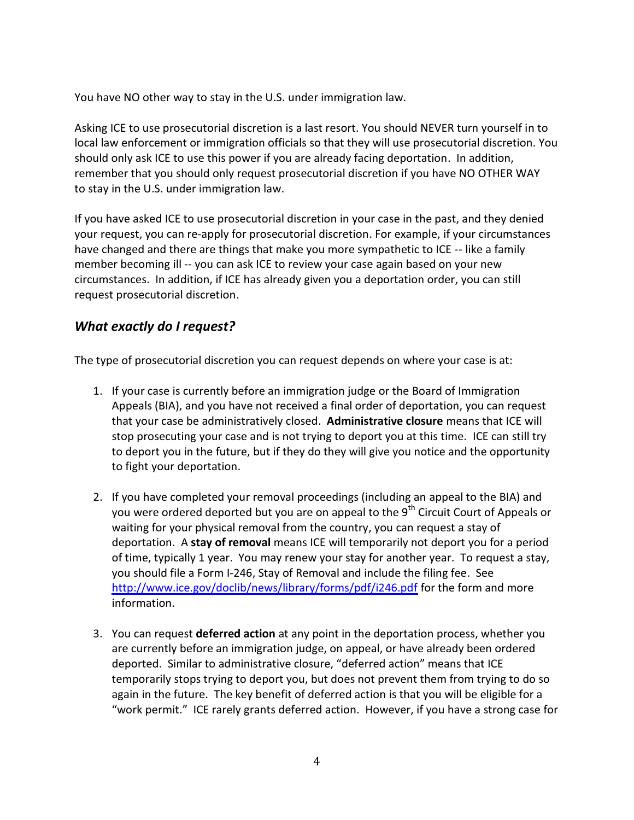You have NO other way to stay in the U.S. under immigration law.

Asking ICE to use prosecutorial discretion is a last resort. You should NEVER turn yourself in to local law enforcement or immigration officials so that they will use prosecutorial discretion. You should only ask ICE to use this power if you are already facing deportation. In addition, remember that you should only request prosecutorial discretion if you have NO OTHER WAY to stay in the U.S. under immigration law.

If you have asked ICE to use prosecutorial discretion in your case in the past, and they denied your request, you can re-apply for prosecutorial discretion. For example, if your circumstances have changed and there are things that make you more sympathetic to ICE -- like a family member becoming ill -- you can ask ICE to review your case again based on your new circumstances. In addition, if ICE has already given you a deportation order, you can still request prosecutorial discretion.

## What exactly do I request?

The type of prosecutorial discretion you can request depends on where your case is at:

- 1. If your case is currently before an immigration judge or the Board of Immigration Appeals (BIA), and you have not received a final order of deportation, you can request that your case be administratively closed. Administrative closure means that ICE will stop prosecuting your case and is not trying to deport you at this time. ICE can still try to deport you in the future, but if they do they will give you notice and the opportunity to fight your deportation.
- 2. If you have completed your removal proceedings (including an appeal to the BIA) and you were ordered deported but you are on appeal to the  $9^{\text{th}}$  Circuit Court of Appeals or waiting for your physical removal from the country, you can request a stay of deportation. A stay of removal means ICE will temporarily not deport you for a period of time, typically 1 year. You may renew your stay for another year. To request a stay, you should file a Form I-246, Stay of Removal and include the filing fee. See http://www.ice.gov/doclib/news/library/forms/pdf/i246.pdf for the form and more information.
- 3. You can request **deferred action** at any point in the deportation process, whether you are currently before an immigration judge, on appeal, or have already been ordered deported. Similar to administrative closure, "deferred action" means that ICE  $\chi$  temporarily stops trying to deport you, but does not prevent them from trying to do so again in the future. The key benefit of deferred action is that you will be eligible for a "work permit." ICE rarely grants deferred action. However, if you have a strong case for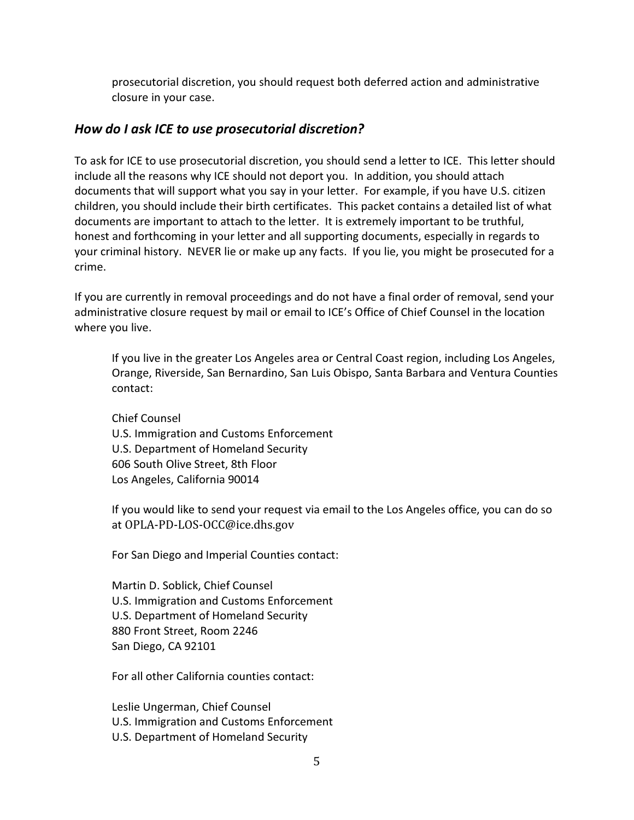prosecutorial discretion, you should request both deferred action and administrative closure in your case.

#### How do I ask ICE to use prosecutorial discretion?

To ask for ICE to use prosecutorial discretion, you should send a letter to ICE. This letter should include all the reasons why ICE should not deport you. In addition, you should attach documents that will support what you say in your letter. For example, if you have U.S. citizen children, you should include their birth certificates. This packet contains a detailed list of what documents are important to attach to the letter. It is extremely important to be truthful, honest and forthcoming in your letter and all supporting documents, especially in regards to your criminal history. NEVER lie or make up any facts. If you lie, you might be prosecuted for a crime.

If you are currently in removal proceedings and do not have a final order of removal, send your administrative closure request by mail or email to ICE's Office of Chief Counsel in the location where you live.

If you live in the greater Los Angeles area or Central Coast region, including Los Angeles, Orange, Riverside, San Bernardino, San Luis Obispo, Santa Barbara and Ventura Counties contact:

Chief Counsel U.S. Immigration and Customs Enforcement U.S. Department of Homeland Security 606 South Olive Street. 8th Floor Los Angeles, California 90014

If you would like to send your request via email to the Los Angeles office, you can do so at OPLA-PD-LOS-OCC@ice.dhs.gov

For San Diego and Imperial Counties contact:

Martin D. Soblick, Chief Counsel U.S. Immigration and Customs Enforcement U.S. Department of Homeland Security 880 Front Street, Room 2246 San Diego, CA 92101

For all other California counties contact:

Leslie Ungerman, Chief Counsel U.S. Immigration and Customs Enforcement U.S. Department of Homeland Security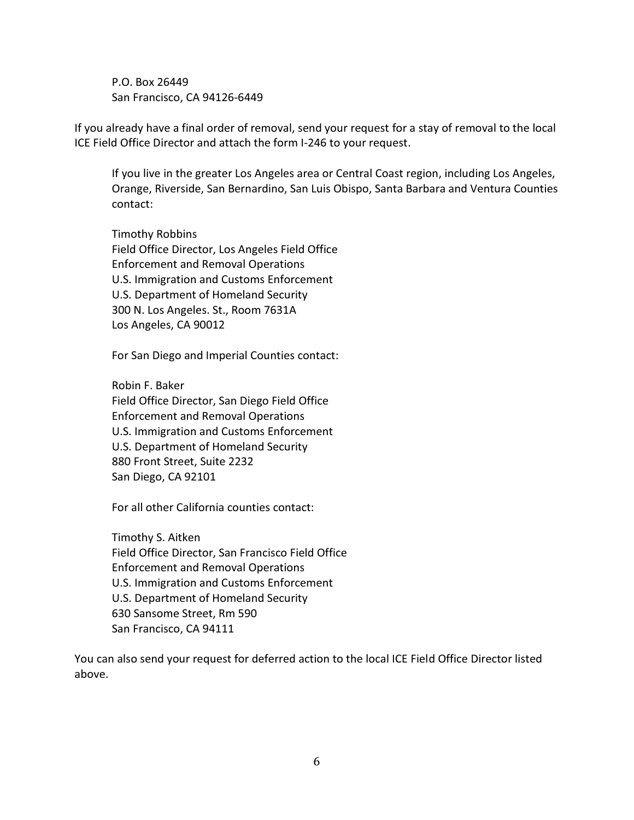P.O. Box 26449 San Francisco, CA 94126-6449

If you already have a final order of removal, send your request for a stay of removal to the local ICE Field Office Director and attach the form I-246 to your request.

If you live in the greater Los Angeles area or Central Coast region, including Los Angeles, Orange, Riverside, San Bernardino, San Luis Obispo, Santa Barbara and Ventura Counties contact:

Timothy Robbins Field Office Director, Los Angeles Field Office Enforcement and Removal Operations U.S. Immigration and Customs Enforcement U.S. Department of Homeland Security 300 N. Los Angeles. St., Room 7631A Los Angeles, CA 90012

For San Diego and Imperial Counties contact:

Robin F. Baker Field Office Director, San Diego Field Office **Enforcement and Removal Operations** U.S. Immigration and Customs Enforcement U.S. Department of Homeland Security 880 Front Street, Suite 2232 San Diego, CA 92101

For all other California counties contact:

Timothy S. Aitken Field Office Director, San Francisco Field Office **Enforcement and Removal Operations** U.S. Immigration and Customs Enforcement U.S. Department of Homeland Security 630 Sansome Street, Rm 590 San Francisco, CA 94111

You can also send your request for deferred action to the local ICE Field Office Director listed above.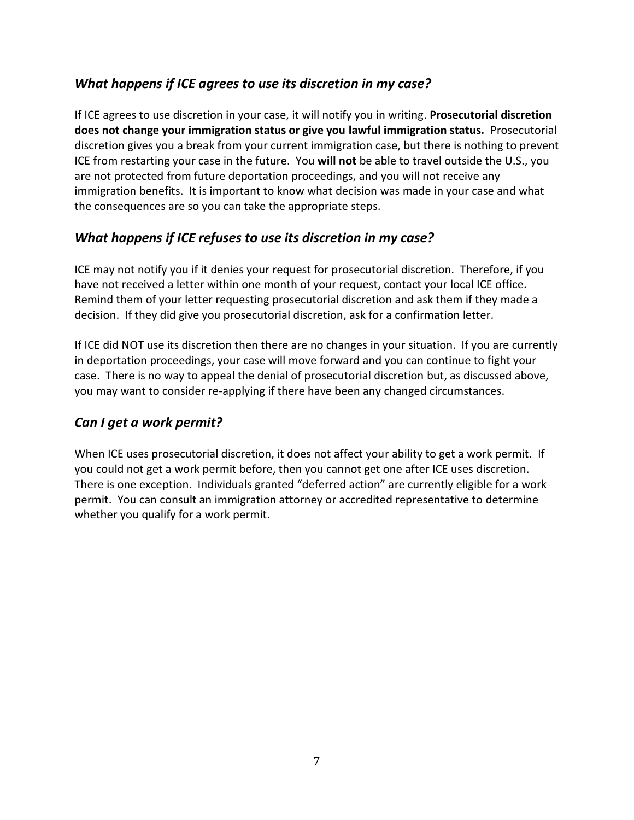## What happens if ICE agrees to use its discretion in my case?

If ICE agrees to use discretion in your case, it will notify you in writing. Prosecutorial discretion does not change your immigration status or give you lawful immigration status. Prosecutorial discretion gives you a break from your current immigration case, but there is nothing to prevent ICE from restarting your case in the future. You will not be able to travel outside the U.S., you are not protected from future deportation proceedings, and you will not receive any immigration benefits. It is important to know what decision was made in your case and what the consequences are so you can take the appropriate steps.

## What happens if ICE refuses to use its discretion in my case?

ICE may not notify you if it denies your request for prosecutorial discretion. Therefore, if you have not received a letter within one month of your request, contact your local ICE office. Remind them of your letter requesting prosecutorial discretion and ask them if they made a decision. If they did give you prosecutorial discretion, ask for a confirmation letter.

If ICE did NOT use its discretion then there are no changes in your situation. If you are currently in deportation proceedings, your case will move forward and you can continue to fight your case. There is no way to appeal the denial of prosecutorial discretion but, as discussed above, you may want to consider re-applying if there have been any changed circumstances.

## Can I get a work permit?

When ICE uses prosecutorial discretion, it does not affect your ability to get a work permit. If you could not get a work permit before, then you cannot get one after ICE uses discretion. There is one exception. Individuals granted "deferred action" are currently eligible for a work permit. You can consult an immigration attorney or accredited representative to determine whether you qualify for a work permit.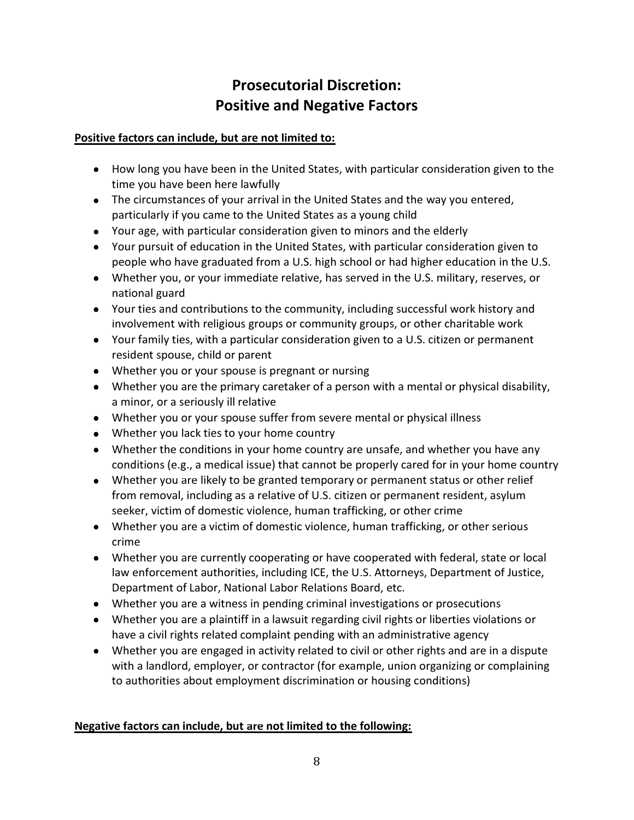## Prosecutorial Discretion: **Positive and Negative Factors**

#### Positive factors can include, but are not limited to:

- How long you have been in the United States, with particular consideration given to the time you have been here lawfully
- The circumstances of your arrival in the United States and the way you entered, particularly if you came to the United States as a young child
- Your age, with particular consideration given to minors and the elderly
- Your pursuit of education in the United States, with particular consideration given to people who have graduated from a U.S. high school or had higher education in the U.S.
- Whether you, or your immediate relative, has served in the U.S. military, reserves, or national guard
- Your ties and contributions to the community, including successful work history and involvement with religious groups or community groups, or other charitable work
- Your family ties, with a particular consideration given to a U.S. citizen or permanent resident spouse, child or parent
- Whether you or your spouse is pregnant or nursing
- Whether you are the primary caretaker of a person with a mental or physical disability, a minor, or a seriously ill relative
- Whether you or your spouse suffer from severe mental or physical illness
- Whether you lack ties to your home country
- Whether the conditions in your home country are unsafe, and whether you have any conditions (e.g., a medical issue) that cannot be properly cared for in your home country
- Whether you are likely to be granted temporary or permanent status or other relief from removal, including as a relative of U.S. citizen or permanent resident, asylum seeker, victim of domestic violence, human trafficking, or other crime
- Whether you are a victim of domestic violence, human trafficking, or other serious crime
- Whether you are currently cooperating or have cooperated with federal, state or local law enforcement authorities, including ICE, the U.S. Attorneys, Department of Justice, Department of Labor, National Labor Relations Board, etc.
- Whether you are a witness in pending criminal investigations or prosecutions
- Whether you are a plaintiff in a lawsuit regarding civil rights or liberties violations or have a civil rights related complaint pending with an administrative agency
- Whether you are engaged in activity related to civil or other rights and are in a dispute with a landlord, employer, or contractor (for example, union organizing or complaining to authorities about employment discrimination or housing conditions)

#### Negative factors can include, but are not limited to the following: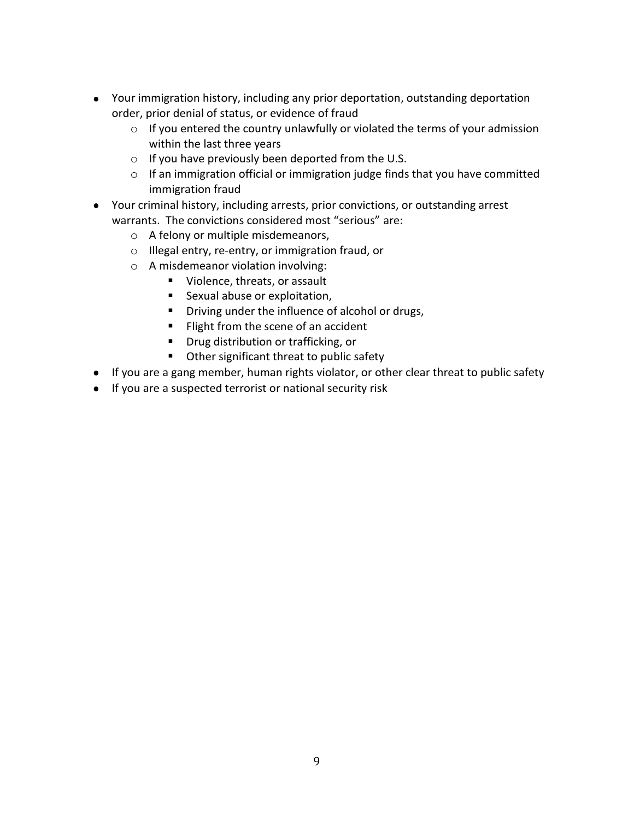- Your immigration history, including any prior deportation, outstanding deportation order, prior denial of status, or evidence of fraud
	- $\circ$  If you entered the country unlawfully or violated the terms of your admission within the last three years
	- $\circ$  If you have previously been deported from the U.S.
	- $\circ$  If an immigration official or immigration judge finds that you have committed immigration fraud
- Your criminal history, including arrests, prior convictions, or outstanding arrest warrants. The convictions considered most "serious" are:
	- $\circ$  A felony or multiple misdemeanors,
	- $\circ$  Illegal entry, re-entry, or immigration fraud, or
	- $\circ$  A misdemeanor violation involving:
		- Violence, threats, or assault
		- **E** Sexual abuse or exploitation,
		- Driving under the influence of alcohol or drugs,
		- Flight from the scene of an accident
		- **■** Drug distribution or trafficking, or
		- Other significant threat to public safety
- If you are a gang member, human rights violator, or other clear threat to public safety
- . If you are a suspected terrorist or national security risk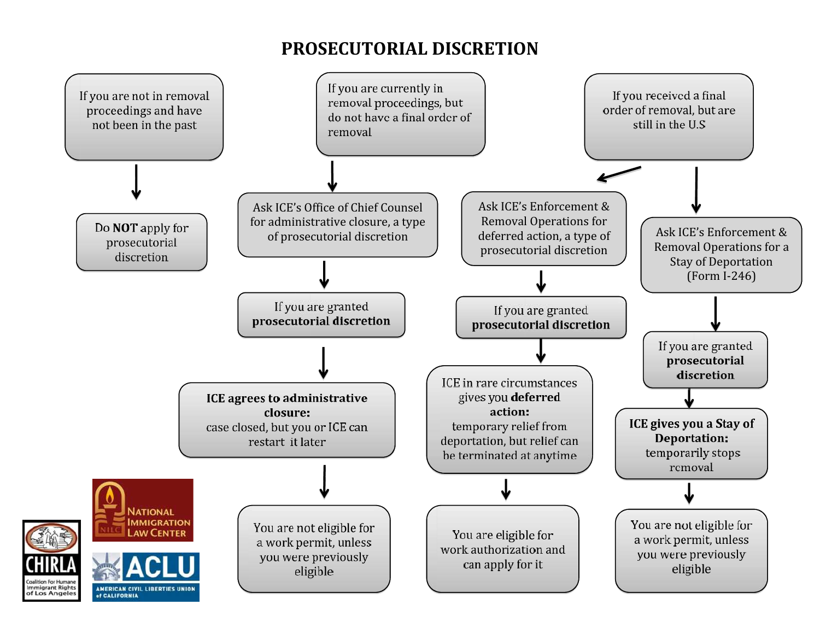# **PROSECUTORIAL DISCRETION**

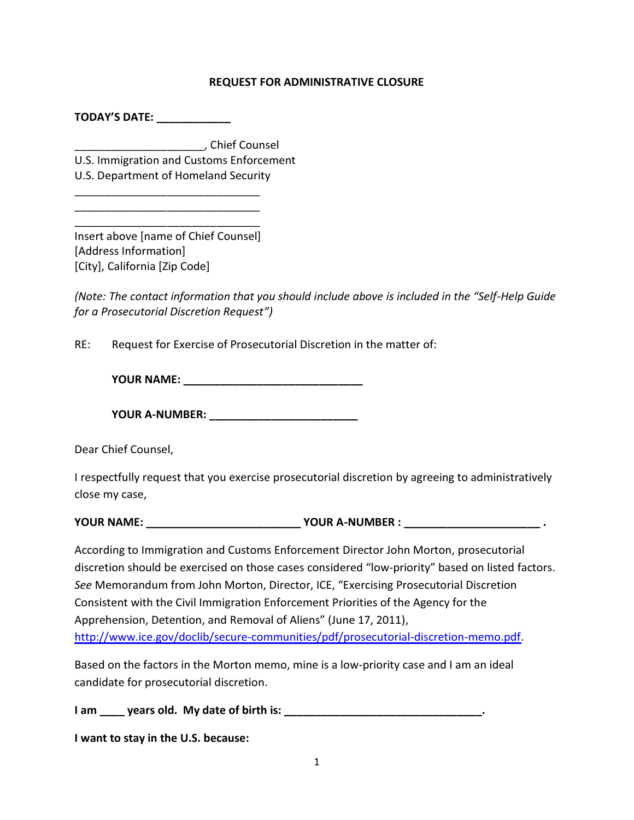#### **REQUEST FOR ADMINISTRATIVE CLOSURE**

TODAY'S DATE:

EEEEEEEEEEEEEEEEEEEEE\$ 3MNJK 3TZSXJQ

U.S. Immigration and Customs Enforcement

U.S. Department of Homeland Security

EEEEEEEEEEEEEEEEEEEEEEEEEEEEEE EEEEEEEEEEEEEEEEEEEEEEEEEEEEEE EEEEEEEEEEEEEEEEEEEEEEEEEEEEEE

Insert above [name of Chief Counsel] [Address Information] [City], California [Zip Code]

(Note: The contact information that you should include above is included in the "Self-Help Guide") for a Prosecutorial Discretion Request")

RE: Request for Exercise of Prosecutorial Discretion in the matter of:

<396 2(1,' =============================

<396 (%291),6' ========================

Dear Chief Counsel,

I respectfully request that you exercise prosecutorial discretion by agreeing to administratively close my case,

<396 2(1,' ========================= <396 (%291),6 ' ====================== &

According to Immigration and Customs Enforcement Director John Morton, prosecutorial discretion should be exercised on those cases considered "low-priority" based on listed factors. See Memorandum from John Morton, Director, ICE, "Exercising Prosecutorial Discretion Consistent with the Civil Immigration Enforcement Priorities of the Agency for the Apprehension, Detention, and Removal of Aliens" (June 17, 2011), http://www.ice.gov/doclib/secure-communities/pdf/prosecutorial-discretion-memo.pdf.

Based on the factors in the Morton memo, mine is a low-priority case and I am an ideal candidate for prosecutorial discretion.

/ >H ==== RB>LM JGA& 1R A>NB JC ?FLNE FM' ================================&

I want to stay in the U.S. because: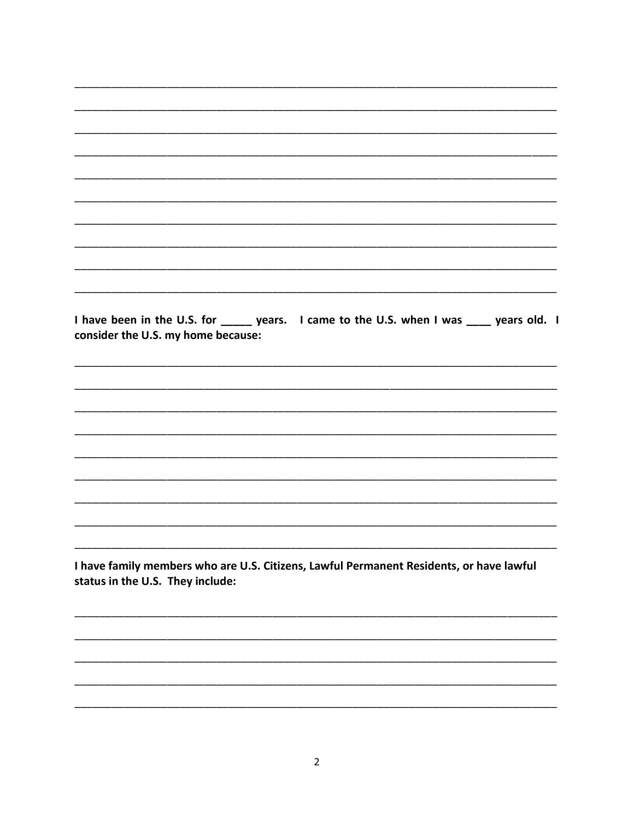EEEEEEEEEEEEEEEEEEEEEEEEEEEEEEEEEEEEEEEEEEEEEEEEEEEEEEEEEEEEEEEEEEEEEEEEEEEEEE EEEEEEEEEEEEEEEEEEEEEEEEEEEEEEEEEEEEEEEEEEEEEEEEEEEEEEEEEEEEEEEEEEEEEEEEEEEEEE EEEEEEEEEEEEEEEEEEEEEEEEEEEEEEEEEEEEEEEEEEEEEEEEEEEEEEEEEEEEEEEEEEEEEEEEEEEEEE EEEEEEEEEEEEEEEEEEEEEEEEEEEEEEEEEEEEEEEEEEEEEEEEEEEEEEEEEEEEEEEEEEEEEEEEEEEEEE EEEEEEEEEEEEEEEEEEEEEEEEEEEEEEEEEEEEEEEEEEEEEEEEEEEEEEEEEEEEEEEEEEEEEEEEEEEEEE EEEEEEEEEEEEEEEEEEEEEEEEEEEEEEEEEEEEEEEEEEEEEEEEEEEEEEEEEEEEEEEEEEEEEEEEEEEEEE EEEEEEEEEEEEEEEEEEEEEEEEEEEEEEEEEEEEEEEEEEEEEEEEEEEEEEEEEEEEEEEEEEEEEEEEEEEEEE EEEEEEEEEEEEEEEEEEEEEEEEEEEEEEEEEEEEEEEEEEEEEEEEEEEEEEEEEEEEEEEEEEEEEEEEEEEEEE I have been in the U.S. for \_\_\_\_\_ years. I came to the U.S. when I was \_\_\_\_ years old. I consider the U.S. my home because: EEEEEEEEEEEEEEEEEEEEEEEEEEEEEEEEEEEEEEEEEEEEEEEEEEEEEEEEEEEEEEEEEEEEEEEEEEEEEE EEEEEEEEEEEEEEEEEEEEEEEEEEEEEEEEEEEEEEEEEEEEEEEEEEEEEEEEEEEEEEEEEEEEEEEEEEEEEE EEEEEEEEEEEEEEEEEEEEEEEEEEEEEEEEEEEEEEEEEEEEEEEEEEEEEEEEEEEEEEEEEEEEEEEEEEEEEE EEEEEEEEEEEEEEEEEEEEEEEEEEEEEEEEEEEEEEEEEEEEEEEEEEEEEEEEEEEEEEEEEEEEEEEEEEEEEE EEEEEEEEEEEEEEEEEEEEEEEEEEEEEEEEEEEEEEEEEEEEEEEEEEEEEEEEEEEEEEEEEEEEEEEEEEEEEE EEEEEEEEEEEEEEEEEEEEEEEEEEEEEEEEEEEEEEEEEEEEEEEEEEEEEEEEEEEEEEEEEEEEEEEEEEEEEE EEEEEEEEEEEEEEEEEEEEEEEEEEEEEEEEEEEEEEEEEEEEEEEEEEEEEEEEEEEEEEEEEEEEEEEEEEEEEE EEEEEEEEEEEEEEEEEEEEEEEEEEEEEEEEEEEEEEEEEEEEEEEEEEEEEEEEEEEEEEEEEEEEEEEEEEEEEE EEEEEEEEEEEEEEEEEEEEEEEEEEEEEEEEEEEEEEEEEEEEEEEEEEEEEEEEEEEEEEEEEEEEEEEEEEEEEE I have family members who are U.S. Citizens, Lawful Permanent Residents, or have lawful status in the U.S. They include: EEEEEEEEEEEEEEEEEEEEEEEEEEEEEEEEEEEEEEEEEEEEEEEEEEEEEEEEEEEEEEEEEEEEEEEEEEEEEE

EEEEEEEEEEEEEEEEEEEEEEEEEEEEEEEEEEEEEEEEEEEEEEEEEEEEEEEEEEEEEEEEEEEEEEEEEEEEEE

EEEEEEEEEEEEEEEEEEEEEEEEEEEEEEEEEEEEEEEEEEEEEEEEEEEEEEEEEEEEEEEEEEEEEEEEEEEEEE

EEEEEEEEEEEEEEEEEEEEEEEEEEEEEEEEEEEEEEEEEEEEEEEEEEEEEEEEEEEEEEEEEEEEEEEEEEEEEE

EEEEEEEEEEEEEEEEEEEEEEEEEEEEEEEEEEEEEEEEEEEEEEEEEEEEEEEEEEEEEEEEEEEEEEEEEEEEEE

EEEEEEEEEEEEEEEEEEEEEEEEEEEEEEEEEEEEEEEEEEEEEEEEEEEEEEEEEEEEEEEEEEEEEEEEEEEEEE

EEEEEEEEEEEEEEEEEEEEEEEEEEEEEEEEEEEEEEEEEEEEEEEEEEEEEEEEEEEEEEEEEEEEEEEEEEEEEE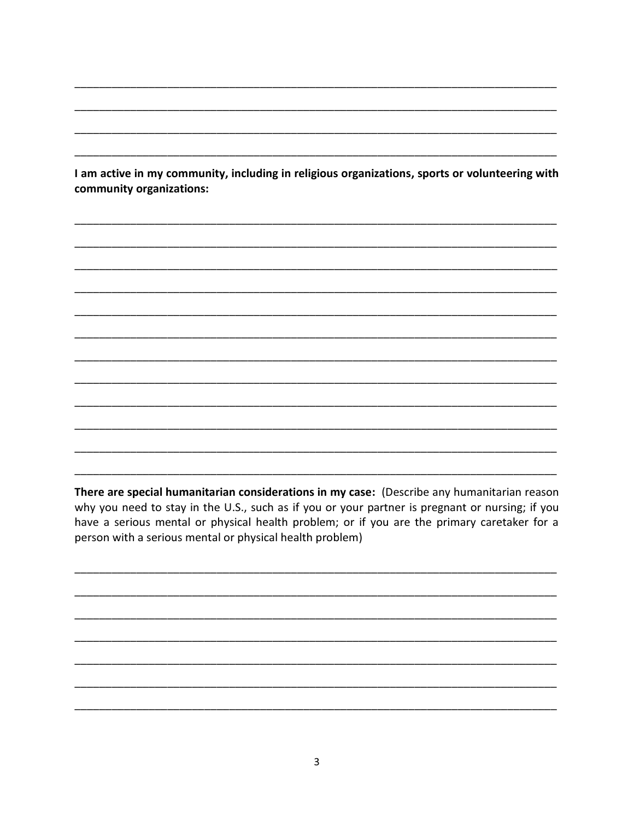I am active in my community, including in religious organizations, sports or volunteering with community organizations:

EEEEEEEEEEEEEEEEEEEEEEEEEEEEEEEEEEEEEEEEEEEEEEEEEEEEEEEEEEEEEEEEEEEEEEEEEEEEEE

EEEEEEEEEEEEEEEEEEEEEEEEEEEEEEEEEEEEEEEEEEEEEEEEEEEEEEEEEEEEEEEEEEEEEEEEEEEEEE

EEEEEEEEEEEEEEEEEEEEEEEEEEEEEEEEEEEEEEEEEEEEEEEEEEEEEEEEEEEEEEEEEEEEEEEEEEEEEE

EEEEEEEEEEEEEEEEEEEEEEEEEEEEEEEEEEEEEEEEEEEEEEEEEEEEEEEEEEEEEEEEEEEEEEEEEEEEEE

EEEEEEEEEEEEEEEEEEEEEEEEEEEEEEEEEEEEEEEEEEEEEEEEEEEEEEEEEEEEEEEEEEEEEEEEEEEEEE

EEEEEEEEEEEEEEEEEEEEEEEEEEEEEEEEEEEEEEEEEEEEEEEEEEEEEEEEEEEEEEEEEEEEEEEEEEEEEE

EEEEEEEEEEEEEEEEEEEEEEEEEEEEEEEEEEEEEEEEEEEEEEEEEEEEEEEEEEEEEEEEEEEEEEEEEEEEEE

EEEEEEEEEEEEEEEEEEEEEEEEEEEEEEEEEEEEEEEEEEEEEEEEEEEEEEEEEEEEEEEEEEEEEEEEEEEEEE

EEEEEEEEEEEEEEEEEEEEEEEEEEEEEEEEEEEEEEEEEEEEEEEEEEEEEEEEEEEEEEEEEEEEEEEEEEEEEE

EEEEEEEEEEEEEEEEEEEEEEEEEEEEEEEEEEEEEEEEEEEEEEEEEEEEEEEEEEEEEEEEEEEEEEEEEEEEEE

EEEEEEEEEEEEEEEEEEEEEEEEEEEEEEEEEEEEEEEEEEEEEEEEEEEEEEEEEEEEEEEEEEEEEEEEEEEEEE

EEEEEEEEEEEEEEEEEEEEEEEEEEEEEEEEEEEEEEEEEEEEEEEEEEEEEEEEEEEEEEEEEEEEEEEEEEEEEE

EEEEEEEEEEEEEEEEEEEEEEEEEEEEEEEEEEEEEEEEEEEEEEEEEEEEEEEEEEEEEEEEEEEEEEEEEEEEEE

EEEEEEEEEEEEEEEEEEEEEEEEEEEEEEEEEEEEEEEEEEEEEEEEEEEEEEEEEEEEEEEEEEEEEEEEEEEEEE

EEEEEEEEEEEEEEEEEEEEEEEEEEEEEEEEEEEEEEEEEEEEEEEEEEEEEEEEEEEEEEEEEEEEEEEEEEEEEE

EEEEEEEEEEEEEEEEEEEEEEEEEEEEEEEEEEEEEEEEEEEEEEEEEEEEEEEEEEEEEEEEEEEEEEEEEEEEEE

There are special humanitarian considerations in my case: (Describe any humanitarian reason why you need to stay in the U.S., such as if you or your partner is pregnant or nursing; if you have a serious mental or physical health problem; or if you are the primary caretaker for a person with a serious mental or physical health problem)

EEEEEEEEEEEEEEEEEEEEEEEEEEEEEEEEEEEEEEEEEEEEEEEEEEEEEEEEEEEEEEEEEEEEEEEEEEEEEE

EEEEEEEEEEEEEEEEEEEEEEEEEEEEEEEEEEEEEEEEEEEEEEEEEEEEEEEEEEEEEEEEEEEEEEEEEEEEEE

EEEEEEEEEEEEEEEEEEEEEEEEEEEEEEEEEEEEEEEEEEEEEEEEEEEEEEEEEEEEEEEEEEEEEEEEEEEEEE

EEEEEEEEEEEEEEEEEEEEEEEEEEEEEEEEEEEEEEEEEEEEEEEEEEEEEEEEEEEEEEEEEEEEEEEEEEEEEE

EEEEEEEEEEEEEEEEEEEEEEEEEEEEEEEEEEEEEEEEEEEEEEEEEEEEEEEEEEEEEEEEEEEEEEEEEEEEEE

EEEEEEEEEEEEEEEEEEEEEEEEEEEEEEEEEEEEEEEEEEEEEEEEEEEEEEEEEEEEEEEEEEEEEEEEEEEEEE

EEEEEEEEEEEEEEEEEEEEEEEEEEEEEEEEEEEEEEEEEEEEEEEEEEEEEEEEEEEEEEEEEEEEEEEEEEEEEE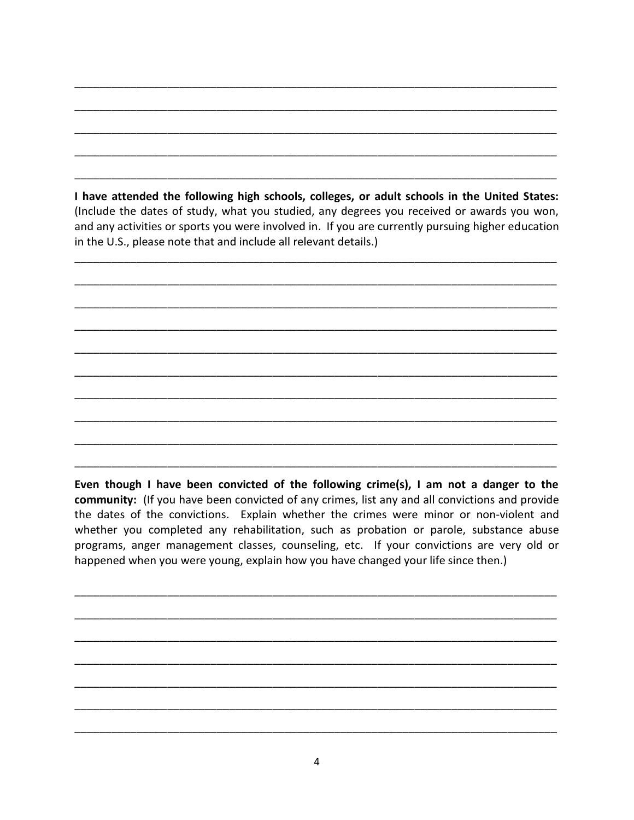I have attended the following high schools, colleges, or adult schools in the United States: (Include the dates of study, what you studied, any degrees you received or awards you won, and any activities or sports you were involved in. If you are currently pursuing higher education in the U.S., please note that and include all relevant details.)

Even though I have been convicted of the following crime(s), I am not a danger to the community: (If you have been convicted of any crimes, list any and all convictions and provide the dates of the convictions. Explain whether the crimes were minor or non-violent and whether you completed any rehabilitation, such as probation or parole, substance abuse programs, anger management classes, counseling, etc. If your convictions are very old or happened when you were young, explain how you have changed your life since then.)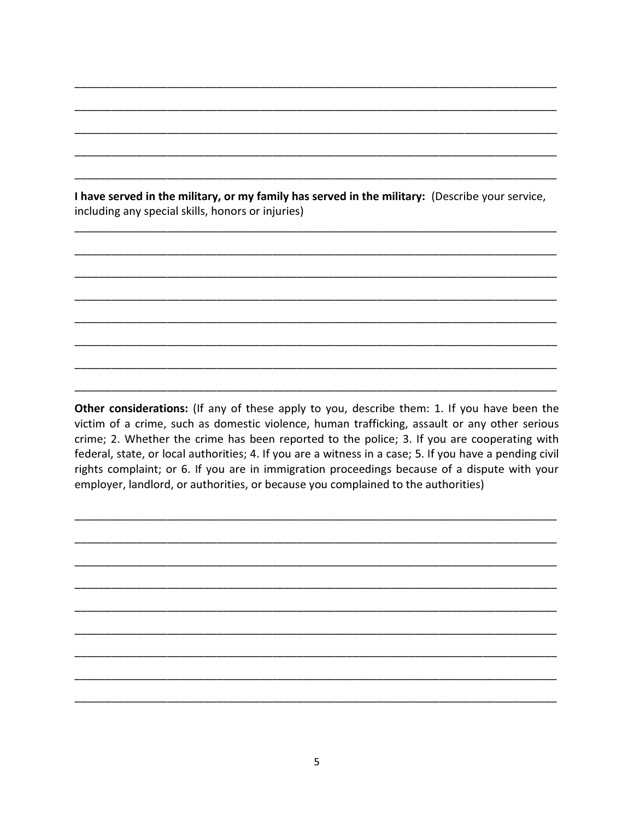I have served in the military, or my family has served in the military: (Describe your service, including any special skills, honors or injuries)

EEEEEEEEEEEEEEEEEEEEEEEEEEEEEEEEEEEEEEEEEEEEEEEEEEEEEEEEEEEEEEEEEEEEEEEEEEEEEE

EEEEEEEEEEEEEEEEEEEEEEEEEEEEEEEEEEEEEEEEEEEEEEEEEEEEEEEEEEEEEEEEEEEEEEEEEEEEEE

EEEEEEEEEEEEEEEEEEEEEEEEEEEEEEEEEEEEEEEEEEEEEEEEEEEEEEEEEEEEEEEEEEEEEEEEEEEEEE

EEEEEEEEEEEEEEEEEEEEEEEEEEEEEEEEEEEEEEEEEEEEEEEEEEEEEEEEEEEEEEEEEEEEEEEEEEEEEE

EEEEEEEEEEEEEEEEEEEEEEEEEEEEEEEEEEEEEEEEEEEEEEEEEEEEEEEEEEEEEEEEEEEEEEEEEEEEEE

EEEEEEEEEEEEEEEEEEEEEEEEEEEEEEEEEEEEEEEEEEEEEEEEEEEEEEEEEEEEEEEEEEEEEEEEEEEEEE

EEEEEEEEEEEEEEEEEEEEEEEEEEEEEEEEEEEEEEEEEEEEEEEEEEEEEEEEEEEEEEEEEEEEEEEEEEEEEE

EEEEEEEEEEEEEEEEEEEEEEEEEEEEEEEEEEEEEEEEEEEEEEEEEEEEEEEEEEEEEEEEEEEEEEEEEEEEEE

EEEEEEEEEEEEEEEEEEEEEEEEEEEEEEEEEEEEEEEEEEEEEEEEEEEEEEEEEEEEEEEEEEEEEEEEEEEEEE

EEEEEEEEEEEEEEEEEEEEEEEEEEEEEEEEEEEEEEEEEEEEEEEEEEEEEEEEEEEEEEEEEEEEEEEEEEEEEE

EEEEEEEEEEEEEEEEEEEEEEEEEEEEEEEEEEEEEEEEEEEEEEEEEEEEEEEEEEEEEEEEEEEEEEEEEEEEEE

EEEEEEEEEEEEEEEEEEEEEEEEEEEEEEEEEEEEEEEEEEEEEEEEEEEEEEEEEEEEEEEEEEEEEEEEEEEEEE

EEEEEEEEEEEEEEEEEEEEEEEEEEEEEEEEEEEEEEEEEEEEEEEEEEEEEEEEEEEEEEEEEEEEEEEEEEEEEE

Other considerations: (If any of these apply to you, describe them: 1. If you have been the victim of a crime, such as domestic violence, human trafficking, assault or any other serious crime; 2. Whether the crime has been reported to the police; 3. If you are cooperating with federal, state, or local authorities; 4. If you are a witness in a case; 5. If you have a pending civil rights complaint; or 6. If you are in immigration proceedings because of a dispute with your employer, landlord, or authorities, or because you complained to the authorities)

EEEEEEEEEEEEEEEEEEEEEEEEEEEEEEEEEEEEEEEEEEEEEEEEEEEEEEEEEEEEEEEEEEEEEEEEEEEEEE

EEEEEEEEEEEEEEEEEEEEEEEEEEEEEEEEEEEEEEEEEEEEEEEEEEEEEEEEEEEEEEEEEEEEEEEEEEEEEE

EEEEEEEEEEEEEEEEEEEEEEEEEEEEEEEEEEEEEEEEEEEEEEEEEEEEEEEEEEEEEEEEEEEEEEEEEEEEEE

EEEEEEEEEEEEEEEEEEEEEEEEEEEEEEEEEEEEEEEEEEEEEEEEEEEEEEEEEEEEEEEEEEEEEEEEEEEEEE

EEEEEEEEEEEEEEEEEEEEEEEEEEEEEEEEEEEEEEEEEEEEEEEEEEEEEEEEEEEEEEEEEEEEEEEEEEEEEE

EEEEEEEEEEEEEEEEEEEEEEEEEEEEEEEEEEEEEEEEEEEEEEEEEEEEEEEEEEEEEEEEEEEEEEEEEEEEEE

EEEEEEEEEEEEEEEEEEEEEEEEEEEEEEEEEEEEEEEEEEEEEEEEEEEEEEEEEEEEEEEEEEEEEEEEEEEEEE

EEEEEEEEEEEEEEEEEEEEEEEEEEEEEEEEEEEEEEEEEEEEEEEEEEEEEEEEEEEEEEEEEEEEEEEEEEEEEE

EEEEEEEEEEEEEEEEEEEEEEEEEEEEEEEEEEEEEEEEEEEEEEEEEEEEEEEEEEEEEEEEEEEEEEEEEEEEEE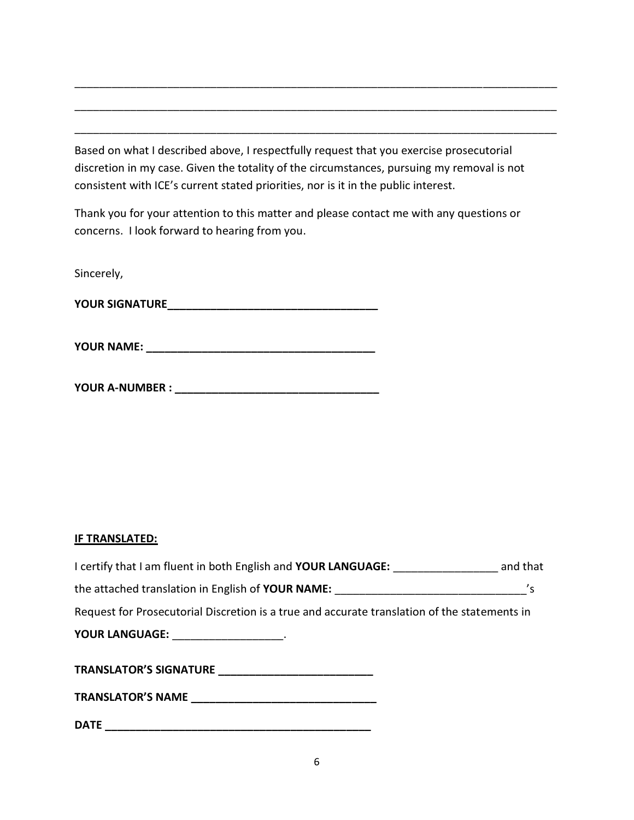Based on what I described above, I respectfully request that you exercise prosecutorial discretion in my case. Given the totality of the circumstances, pursuing my removal is not consistent with ICE's current stated priorities, nor is it in the public interest.

EEEEEEEEEEEEEEEEEEEEEEEEEEEEEEEEEEEEEEEEEEEEEEEEEEEEEEEEEEEEEEEEEEEEEEEEEEEEEE

EEEEEEEEEEEEEEEEEEEEEEEEEEEEEEEEEEEEEEEEEEEEEEEEEEEEEEEEEEEEEEEEEEEEEEEEEEEEEE

EEEEEEEEEEEEEEEEEEEEEEEEEEEEEEEEEEEEEEEEEEEEEEEEEEEEEEEEEEEEEEEEEEEEEEEEEEEEEE

Thank you for your attention to this matter and please contact me with any questions or concerns. I look forward to hearing from you.

Sincerely,

<396 7/.2(896,==================================

<396 2(1,' =====================================

<396 (%291),6 ' =================================

#### **IF TRANSLATED:**

| I certify that I am fluent in both English and YOUR LANGUAGE: and that                       |  |
|----------------------------------------------------------------------------------------------|--|
|                                                                                              |  |
| Request for Prosecutorial Discretion is a true and accurate translation of the statements in |  |
| YOUR LANGUAGE: ____________________.                                                         |  |
|                                                                                              |  |
|                                                                                              |  |
| <b>DATE</b>                                                                                  |  |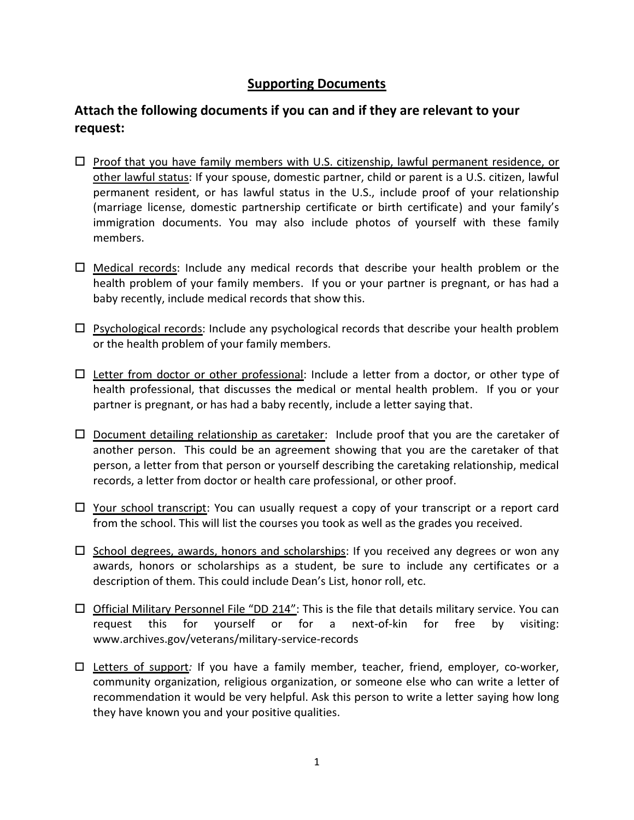#### **Supporting Documents**

## Attach the following documents if you can and if they are relevant to your request:

- $\Box$  Proof that you have family members with U.S. citizenship, lawful permanent residence, or other lawful status: If your spouse, domestic partner, child or parent is a U.S. citizen, lawful permanent resident, or has lawful status in the U.S., include proof of your relationship (marriage license, domestic partnership certificate or birth certificate) and your family's immigration documents. You may also include photos of yourself with these family members.
- $\Box$  Medical records: Include any medical records that describe your health problem or the health problem of your family members. If you or your partner is pregnant, or has had a baby recently, include medical records that show this.
- $\Box$  Psychological records: Include any psychological records that describe your health problem or the health problem of your family members.
- $\Box$  Letter from doctor or other professional: Include a letter from a doctor, or other type of health professional, that discusses the medical or mental health problem. If you or your partner is pregnant, or has had a baby recently, include a letter saying that.
- $\Box$  Document detailing relationship as caretaker: Include proof that you are the caretaker of another person. This could be an agreement showing that you are the caretaker of that person, a letter from that person or yourself describing the caretaking relationship, medical records, a letter from doctor or health care professional, or other proof.
- $\Box$  Your school transcript: You can usually request a copy of your transcript or a report card from the school. This will list the courses you took as well as the grades you received.
- $\Box$  School degrees, awards, honors and scholarships: If you received any degrees or won any awards, honors or scholarships as a student, be sure to include any certificates or a description of them. This could include Dean's List, honor roll, etc.
- $\Box$  Official Military Personnel File "DD 214": This is the file that details military service. You can request this for yourself or for a next-of-kin for free by visiting: www.archives.gov/veterans/military-service-records
- $\Box$  Letters of support: If you have a family member, teacher, friend, employer, co-worker, community organization, religious organization, or someone else who can write a letter of recommendation it would be very helpful. Ask this person to write a letter saying how long they have known you and your positive qualities.